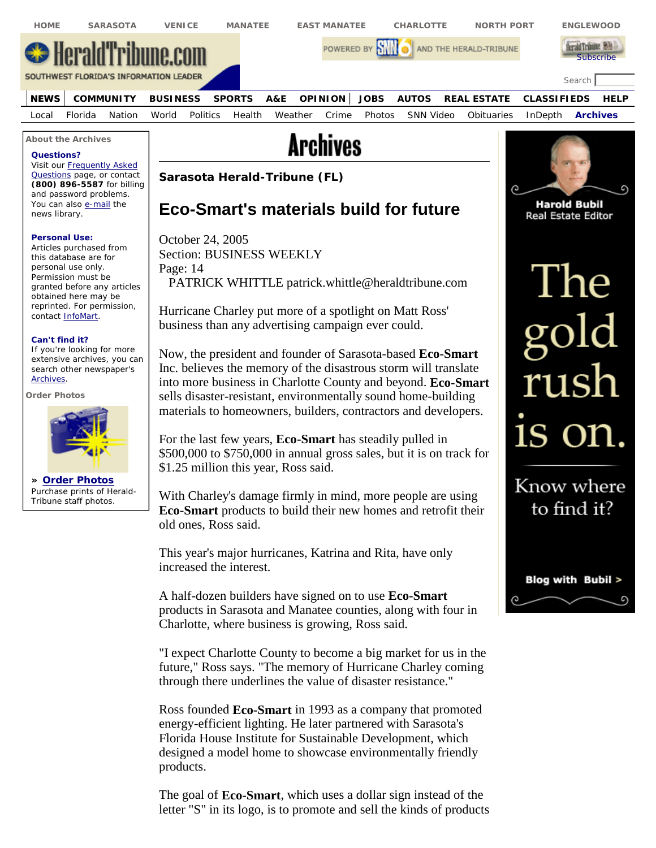

This year's major hurricanes, Katrina and Rita, have only increased the interest.

A half-dozen builders have signed on to use **Eco-Smart** products in Sarasota and Manatee counties, along with four in Charlotte, where business is growing, Ross said.

Blog with Bubil >

"I expect Charlotte County to become a big market for us in the future," Ross says. "The memory of Hurricane Charley coming through there underlines the value of disaster resistance."

Ross founded **Eco-Smart** in 1993 as a company that promoted energy-efficient lighting. He later partnered with Sarasota's Florida House Institute for Sustainable Development, which designed a model home to showcase environmentally friendly products.

The goal of **Eco-Smart**, which uses a dollar sign instead of the letter "S" in its logo, is to promote and sell the kinds of products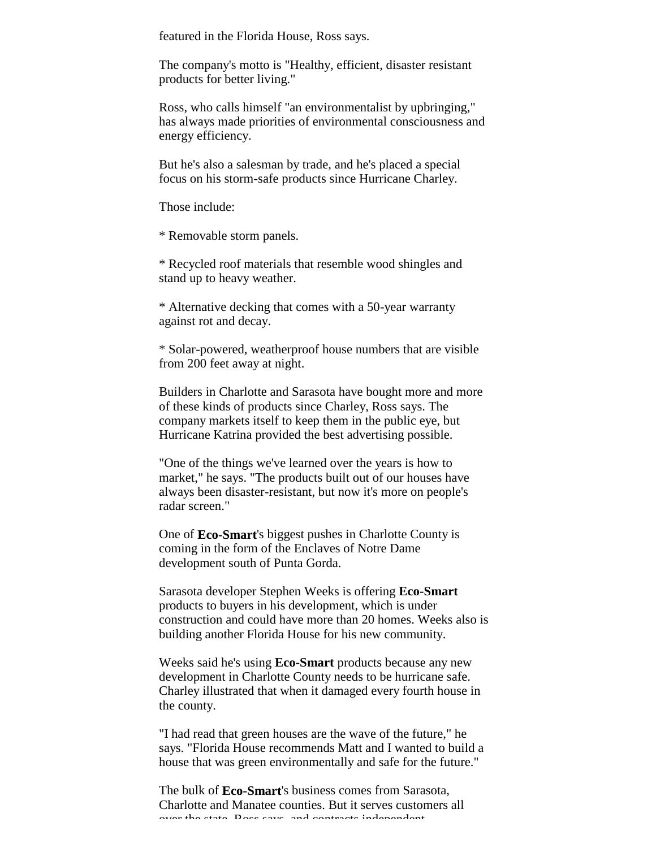featured in the Florida House, Ross says.

The company's motto is "Healthy, efficient, disaster resistant products for better living."

Ross, who calls himself "an environmentalist by upbringing," has always made priorities of environmental consciousness and energy efficiency.

But he's also a salesman by trade, and he's placed a special focus on his storm-safe products since Hurricane Charley.

Those include:

\* Removable storm panels.

\* Recycled roof materials that resemble wood shingles and stand up to heavy weather.

\* Alternative decking that comes with a 50-year warranty against rot and decay.

\* Solar-powered, weatherproof house numbers that are visible from 200 feet away at night.

Builders in Charlotte and Sarasota have bought more and more of these kinds of products since Charley, Ross says. The company markets itself to keep them in the public eye, but Hurricane Katrina provided the best advertising possible.

"One of the things we've learned over the years is how to market," he says. "The products built out of our houses have always been disaster-resistant, but now it's more on people's radar screen."

One of **Eco-Smart**'s biggest pushes in Charlotte County is coming in the form of the Enclaves of Notre Dame development south of Punta Gorda.

Sarasota developer Stephen Weeks is offering **Eco-Smart** products to buyers in his development, which is under construction and could have more than 20 homes. Weeks also is building another Florida House for his new community.

Weeks said he's using **Eco-Smart** products because any new development in Charlotte County needs to be hurricane safe. Charley illustrated that when it damaged every fourth house in the county.

"I had read that green houses are the wave of the future," he says. "Florida House recommends Matt and I wanted to build a house that was green environmentally and safe for the future."

The bulk of **Eco-Smart**'s business comes from Sarasota, Charlotte and Manatee counties. But it serves customers all over the state, Ross says, and contracts independent